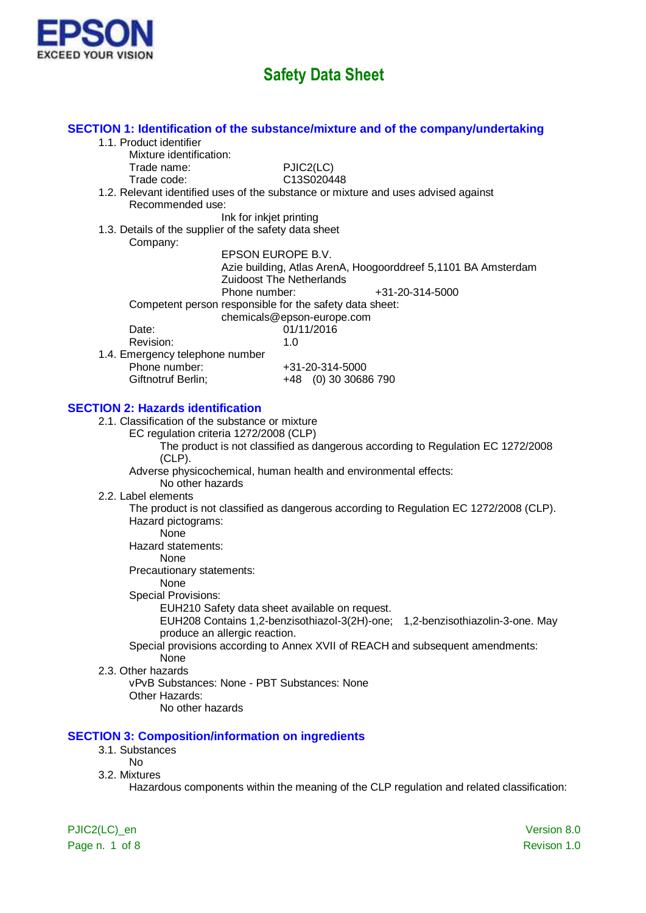

|                                                                                | SECTION 1: Identification of the substance/mixture and of the company/undertaking         |
|--------------------------------------------------------------------------------|-------------------------------------------------------------------------------------------|
| 1.1. Product identifier                                                        |                                                                                           |
| Mixture identification:                                                        |                                                                                           |
| Trade name:                                                                    | PJIC2(LC)                                                                                 |
| Trade code:                                                                    | C13S020448                                                                                |
|                                                                                | 1.2. Relevant identified uses of the substance or mixture and uses advised against        |
| Recommended use:                                                               |                                                                                           |
| Ink for inkjet printing                                                        |                                                                                           |
| 1.3. Details of the supplier of the safety data sheet                          |                                                                                           |
| Company:<br>EPSON EUROPE B.V.                                                  |                                                                                           |
|                                                                                | Azie building, Atlas ArenA, Hoogoorddreef 5,1101 BA Amsterdam                             |
|                                                                                | <b>Zuidoost The Netherlands</b>                                                           |
| Phone number:                                                                  | +31-20-314-5000                                                                           |
| Competent person responsible for the safety data sheet:                        |                                                                                           |
|                                                                                | chemicals@epson-europe.com                                                                |
| Date:                                                                          | 01/11/2016                                                                                |
| Revision:                                                                      | 1.0                                                                                       |
| 1.4. Emergency telephone number                                                |                                                                                           |
| Phone number:                                                                  | +31-20-314-5000                                                                           |
| Giftnotruf Berlin;                                                             | +48 (0) 30 30686 790                                                                      |
|                                                                                |                                                                                           |
| <b>SECTION 2: Hazards identification</b>                                       |                                                                                           |
| 2.1. Classification of the substance or mixture                                |                                                                                           |
| EC regulation criteria 1272/2008 (CLP)                                         |                                                                                           |
|                                                                                | The product is not classified as dangerous according to Regulation EC 1272/2008           |
| $(CLP)$ .                                                                      | Adverse physicochemical, human health and environmental effects:                          |
| No other hazards                                                               |                                                                                           |
| 2.2. Label elements                                                            |                                                                                           |
|                                                                                | The product is not classified as dangerous according to Regulation EC 1272/2008 (CLP).    |
| Hazard pictograms:                                                             |                                                                                           |
| <b>None</b>                                                                    |                                                                                           |
| Hazard statements:                                                             |                                                                                           |
| None                                                                           |                                                                                           |
| Precautionary statements:                                                      |                                                                                           |
| None                                                                           |                                                                                           |
| <b>Special Provisions:</b>                                                     |                                                                                           |
| EUH210 Safety data sheet available on request.                                 |                                                                                           |
| EUH208 Contains 1,2-benzisothiazol-3(2H)-one;<br>produce an allergic reaction. | 1,2-benzisothiazolin-3-one. May                                                           |
|                                                                                | Special provisions according to Annex XVII of REACH and subsequent amendments:            |
| None                                                                           |                                                                                           |
| 2.3. Other hazards                                                             |                                                                                           |
| vPvB Substances: None - PBT Substances: None                                   |                                                                                           |
| Other Hazards:                                                                 |                                                                                           |
| No other hazards                                                               |                                                                                           |
|                                                                                |                                                                                           |
| <b>SECTION 3: Composition/information on ingredients</b>                       |                                                                                           |
| 3.1. Substances                                                                |                                                                                           |
| <b>No</b>                                                                      |                                                                                           |
| 3.2. Mixtures                                                                  |                                                                                           |
|                                                                                | Hazardous components within the meaning of the CLP regulation and related classification: |
|                                                                                |                                                                                           |
|                                                                                |                                                                                           |

Page n. 1 of 8 Revison 1.0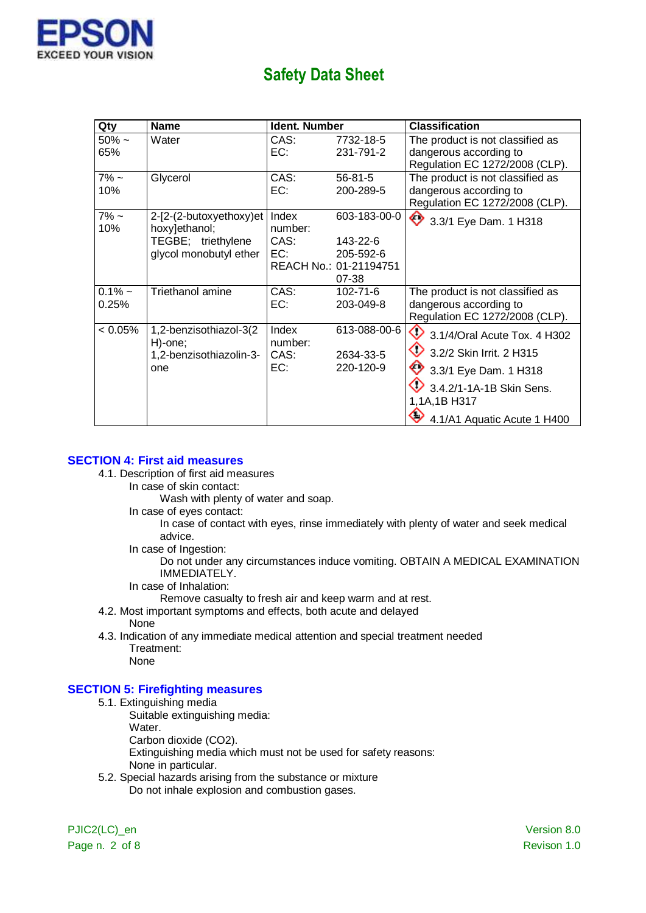

| Qty         | <b>Name</b>                       | <b>Ident. Number</b> |                        | <b>Classification</b>                   |
|-------------|-----------------------------------|----------------------|------------------------|-----------------------------------------|
| $50\% \sim$ | Water                             | CAS:                 | 7732-18-5              | The product is not classified as        |
| 65%         |                                   | EC:                  | 231-791-2              | dangerous according to                  |
|             |                                   |                      |                        | Regulation EC 1272/2008 (CLP).          |
| $7\%$ ~     | Glycerol                          | CAS:                 | $56 - 81 - 5$          | The product is not classified as        |
| 10%         |                                   | EC:                  | 200-289-5              | dangerous according to                  |
|             |                                   |                      |                        | Regulation EC 1272/2008 (CLP).          |
| $7\%$ ~     | 2-[2-(2-butoxyethoxy)et           | Index                | 603-183-00-0           | 3.3/1 Eye Dam. 1 H318                   |
| 10%         | hoxy]ethanol;                     | number:              |                        |                                         |
|             | TEGBE; triethylene                | CAS:                 | 143-22-6               |                                         |
|             | glycol monobutyl ether            | EC:                  | 205-592-6              |                                         |
|             |                                   |                      | REACH No.: 01-21194751 |                                         |
|             |                                   |                      | 07-38                  |                                         |
| $0.1\%$ ~   | Triethanol amine                  | CAS:                 | $102 - 71 - 6$         | The product is not classified as        |
| 0.25%       |                                   | EC:                  | 203-049-8              | dangerous according to                  |
|             |                                   |                      |                        | Regulation EC 1272/2008 (CLP).          |
| $< 0.05\%$  | 1,2-benzisothiazol-3(2<br>H)-one; | Index<br>number:     | 613-088-00-6           | $\bigcirc$ 3.1/4/Oral Acute Tox. 4 H302 |
|             | 1,2-benzisothiazolin-3-           | CAS:                 | 2634-33-5              | 3.2/2 Skin Irrit. 2 H315                |
|             | one                               | EC:                  | 220-120-9              | 3.3/1 Eye Dam. 1 H318                   |
|             |                                   |                      |                        | 3.4.2/1-1A-1B Skin Sens.                |
|             |                                   |                      |                        | 1,1A,1B H317                            |
|             |                                   |                      |                        | 4.1/A1 Aquatic Acute 1 H400             |

#### **SECTION 4: First aid measures**

- 4.1. Description of first aid measures
	- In case of skin contact:
		- Wash with plenty of water and soap.
	- In case of eyes contact:
		- In case of contact with eyes, rinse immediately with plenty of water and seek medical advice.
	- In case of Ingestion:

Do not under any circumstances induce vomiting. OBTAIN A MEDICAL EXAMINATION IMMEDIATELY.

- In case of Inhalation:
	- Remove casualty to fresh air and keep warm and at rest.
- 4.2. Most important symptoms and effects, both acute and delayed
	- None
- 4.3. Indication of any immediate medical attention and special treatment needed Treatment:

None

### **SECTION 5: Firefighting measures**

- 5.1. Extinguishing media
	- Suitable extinguishing media:
	- Water.
	- Carbon dioxide (CO2).

Extinguishing media which must not be used for safety reasons:

- None in particular.
- 5.2. Special hazards arising from the substance or mixture Do not inhale explosion and combustion gases.

PJIC2(LC)\_en Version 8.0 Page n. 2 of 8 Revison 1.0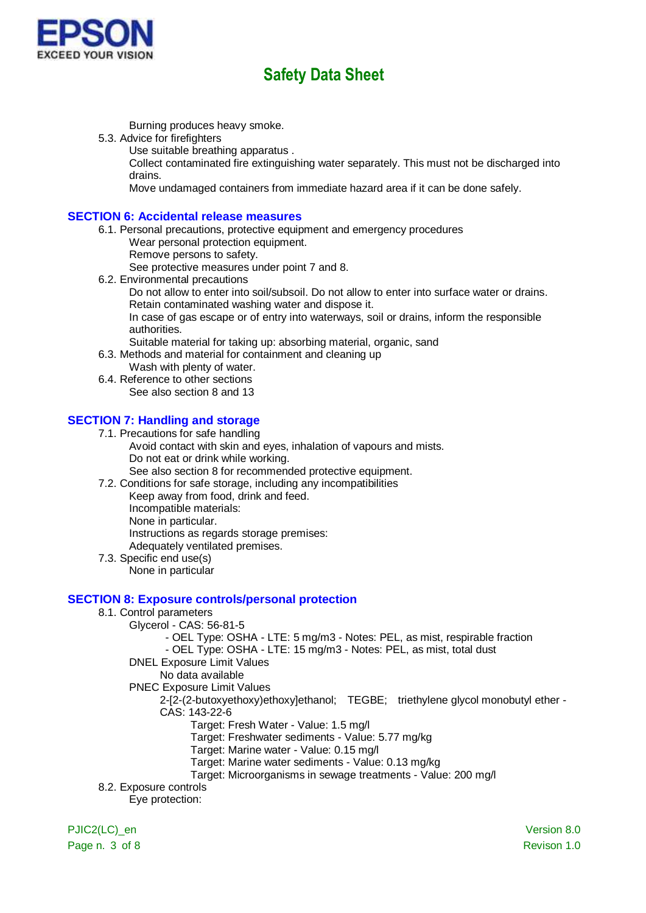

Burning produces heavy smoke.

- 5.3. Advice for firefighters
	- Use suitable breathing apparatus .

Collect contaminated fire extinguishing water separately. This must not be discharged into drains.

Move undamaged containers from immediate hazard area if it can be done safely.

#### **SECTION 6: Accidental release measures**

- 6.1. Personal precautions, protective equipment and emergency procedures
	- Wear personal protection equipment.
	- Remove persons to safety.

See protective measures under point 7 and 8.

6.2. Environmental precautions

Do not allow to enter into soil/subsoil. Do not allow to enter into surface water or drains. Retain contaminated washing water and dispose it.

In case of gas escape or of entry into waterways, soil or drains, inform the responsible authorities.

- Suitable material for taking up: absorbing material, organic, sand
- 6.3. Methods and material for containment and cleaning up
	- Wash with plenty of water.
- 6.4. Reference to other sections See also section 8 and 13

### **SECTION 7: Handling and storage**

- 7.1. Precautions for safe handling Avoid contact with skin and eyes, inhalation of vapours and mists. Do not eat or drink while working. See also section 8 for recommended protective equipment.
- 7.2. Conditions for safe storage, including any incompatibilities Keep away from food, drink and feed.
	- Incompatible materials:
	- None in particular.

Instructions as regards storage premises:

- Adequately ventilated premises.
- 7.3. Specific end use(s) None in particular

#### **SECTION 8: Exposure controls/personal protection**

- 8.1. Control parameters
	- Glycerol CAS: 56-81-5

- OEL Type: OSHA - LTE: 5 mg/m3 - Notes: PEL, as mist, respirable fraction

- OEL Type: OSHA - LTE: 15 mg/m3 - Notes: PEL, as mist, total dust

- DNEL Exposure Limit Values
	- No data available
- PNEC Exposure Limit Values
	- 2-[2-(2-butoxyethoxy)ethoxy]ethanol; TEGBE; triethylene glycol monobutyl ether CAS: 143-22-6
		- Target: Fresh Water Value: 1.5 mg/l
		- Target: Freshwater sediments Value: 5.77 mg/kg
		- Target: Marine water Value: 0.15 mg/l
		- Target: Marine water sediments Value: 0.13 mg/kg
		- Target: Microorganisms in sewage treatments Value: 200 mg/l
- 8.2. Exposure controls

Eye protection:

Page n. 3 of 8 Revison 1.0

PJIC2(LC) en Version 8.0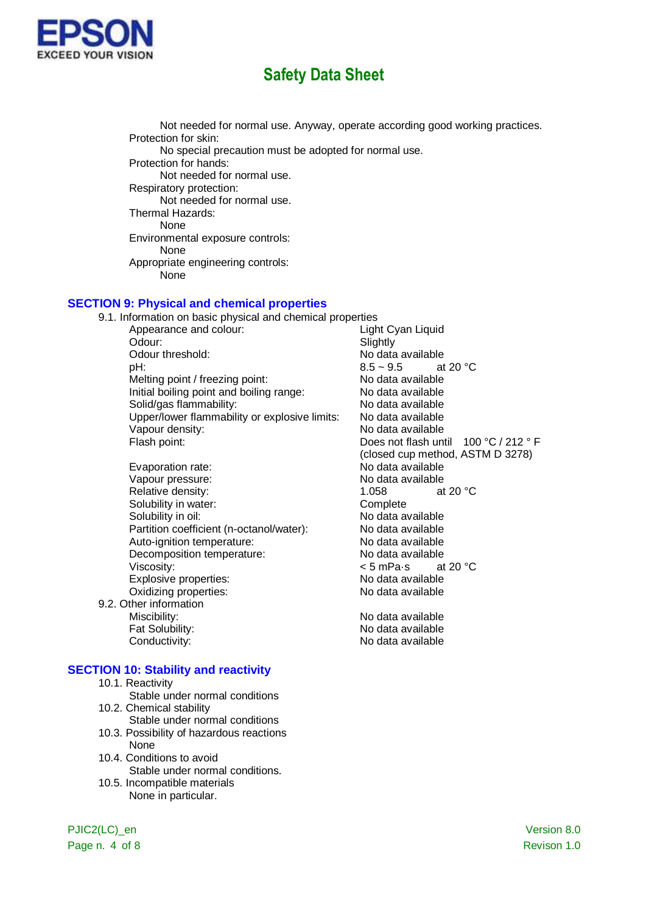

Not needed for normal use. Anyway, operate according good working practices. Protection for skin: No special precaution must be adopted for normal use. Protection for hands: Not needed for normal use. Respiratory protection: Not needed for normal use. Thermal Hazards: None Environmental exposure controls: None Appropriate engineering controls: None

#### **SECTION 9: Physical and chemical properties**

9.1. Information on basic physical and chemical properties<br>Appearance and colour: Light Cyan Liquid Appearance and colour: Odour: Slightly Odour threshold:  $N$ o data available<br>  $\overline{R}$  at 20 °C<br>  $\overline{R}$  at 20 °C pH:  $8.5 \sim 9.5$ Melting point / freezing point: No data available Initial boiling point and boiling range: No data available Solid/gas flammability: No data available Upper/lower flammability or explosive limits: No data available Vapour density: No data available Flash point: The Contract of the Does not flash until 100 °C / 212 ° F

- Evaporation rate: No data available Vapour pressure:<br>
Relative density:<br>
Relative density:<br>
1 058 at 20 °C. Relative density: Solubility in water:<br>
Solubility in oil:<br>
Solubility in oil:<br>
Complete Rolubility in oil: Partition coefficient (n-octanol/water): No data available Auto-ignition temperature: No data available Decomposition temperature: No data available Viscosity:  $\leq$  5 mPa·s at 20 °C<br>
Explosive properties:  $\leq$  No data available Explosive properties:<br>
Oxidizing properties:<br>
Oxidizing properties:<br>
No data available Oxidizing properties:
- 9.2. Other information Miscibility: Miscibility: No data available Fat Solubility: No data available Conductivity: Conductivity: No data available

#### **SECTION 10: Stability and reactivity**

- 10.1. Reactivity
- Stable under normal conditions 10.2. Chemical stability
- Stable under normal conditions
- 10.3. Possibility of hazardous reactions None
- 10.4. Conditions to avoid Stable under normal conditions.
- 10.5. Incompatible materials None in particular.

(closed cup method, ASTM D 3278) No data available

PJIC2(LC) en Version 8.0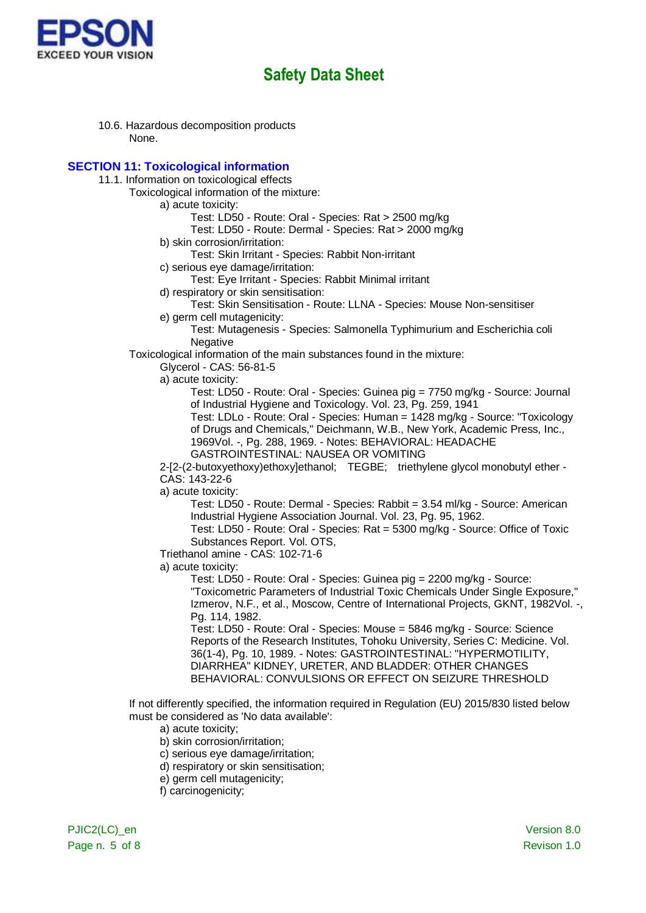

10.6. Hazardous decomposition products None.

### **SECTION 11: Toxicological information**

- 11.1. Information on toxicological effects
	- Toxicological information of the mixture:

a) acute toxicity:

Test: LD50 - Route: Oral - Species: Rat > 2500 mg/kg

Test: LD50 - Route: Dermal - Species: Rat > 2000 mg/kg

b) skin corrosion/irritation:

Test: Skin Irritant - Species: Rabbit Non-irritant

c) serious eye damage/irritation:

Test: Eye Irritant - Species: Rabbit Minimal irritant

d) respiratory or skin sensitisation:

Test: Skin Sensitisation - Route: LLNA - Species: Mouse Non-sensitiser

e) germ cell mutagenicity:

Test: Mutagenesis - Species: Salmonella Typhimurium and Escherichia coli Negative

Toxicological information of the main substances found in the mixture:

Glycerol - CAS: 56-81-5

a) acute toxicity:

Test: LD50 - Route: Oral - Species: Guinea pig = 7750 mg/kg - Source: Journal of Industrial Hygiene and Toxicology. Vol. 23, Pg. 259, 1941

Test: LDLo - Route: Oral - Species: Human = 1428 mg/kg - Source: "Toxicology of Drugs and Chemicals," Deichmann, W.B., New York, Academic Press, Inc., 1969Vol. -, Pg. 288, 1969. - Notes: BEHAVIORAL: HEADACHE GASTROINTESTINAL: NAUSEA OR VOMITING

2-[2-(2-butoxyethoxy)ethoxy]ethanol; TEGBE; triethylene glycol monobutyl ether - CAS: 143-22-6

a) acute toxicity:

Test: LD50 - Route: Dermal - Species: Rabbit = 3.54 ml/kg - Source: American Industrial Hygiene Association Journal. Vol. 23, Pg. 95, 1962.

Test: LD50 - Route: Oral - Species: Rat = 5300 mg/kg - Source: Office of Toxic Substances Report. Vol. OTS,

Triethanol amine - CAS: 102-71-6

a) acute toxicity:

Test: LD50 - Route: Oral - Species: Guinea pig = 2200 mg/kg - Source: "Toxicometric Parameters of Industrial Toxic Chemicals Under Single Exposure," Izmerov, N.F., et al., Moscow, Centre of International Projects, GKNT, 1982Vol. -, Pg. 114, 1982.

Test: LD50 - Route: Oral - Species: Mouse = 5846 mg/kg - Source: Science Reports of the Research Institutes, Tohoku University, Series C: Medicine. Vol. 36(1-4), Pg. 10, 1989. - Notes: GASTROINTESTINAL: "HYPERMOTILITY, DIARRHEA" KIDNEY, URETER, AND BLADDER: OTHER CHANGES BEHAVIORAL: CONVULSIONS OR EFFECT ON SEIZURE THRESHOLD

If not differently specified, the information required in Regulation (EU) 2015/830 listed below must be considered as 'No data available':

- a) acute toxicity;
- b) skin corrosion/irritation;
- c) serious eye damage/irritation;
- d) respiratory or skin sensitisation;
- e) germ cell mutagenicity;
- f) carcinogenicity;

PJIC2(LC) en Version 8.0 Page n. 5 of 8 Revison 1.0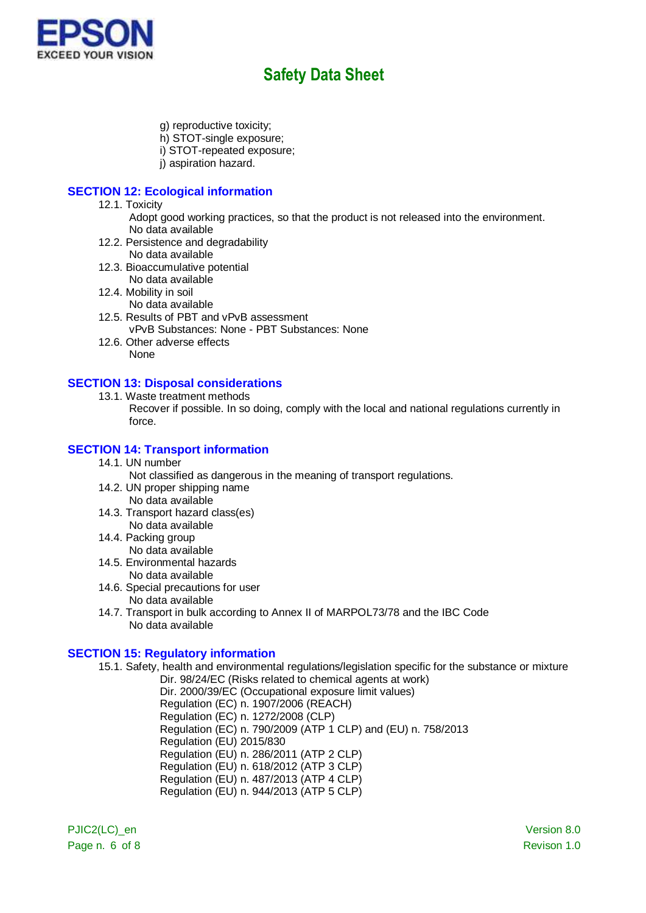

- g) reproductive toxicity;
- h) STOT-single exposure;
- i) STOT-repeated exposure;
- i) aspiration hazard.

### **SECTION 12: Ecological information**

- 12.1. Toxicity
	- Adopt good working practices, so that the product is not released into the environment. No data available
- 12.2. Persistence and degradability
	- No data available
- 12.3. Bioaccumulative potential No data available
- 12.4. Mobility in soil
	- No data available
- 12.5. Results of PBT and vPvB assessment vPvB Substances: None - PBT Substances: None
- 12.6. Other adverse effects None

### **SECTION 13: Disposal considerations**

13.1. Waste treatment methods

Recover if possible. In so doing, comply with the local and national regulations currently in force.

### **SECTION 14: Transport information**

14.1. UN number

Not classified as dangerous in the meaning of transport regulations.

- 14.2. UN proper shipping name No data available
- 14.3. Transport hazard class(es) No data available
- 14.4. Packing group
- No data available 14.5. Environmental hazards
- No data available
- 14.6. Special precautions for user No data available
- 14.7. Transport in bulk according to Annex II of MARPOL73/78 and the IBC Code No data available

### **SECTION 15: Regulatory information**

- 15.1. Safety, health and environmental regulations/legislation specific for the substance or mixture Dir. 98/24/EC (Risks related to chemical agents at work)
	- Dir. 2000/39/EC (Occupational exposure limit values) Regulation (EC) n. 1907/2006 (REACH) Regulation (EC) n. 1272/2008 (CLP) Regulation (EC) n. 790/2009 (ATP 1 CLP) and (EU) n. 758/2013 Regulation (EU) 2015/830 Regulation (EU) n. 286/2011 (ATP 2 CLP) Regulation (EU) n. 618/2012 (ATP 3 CLP) Regulation (EU) n. 487/2013 (ATP 4 CLP) Regulation (EU) n. 944/2013 (ATP 5 CLP)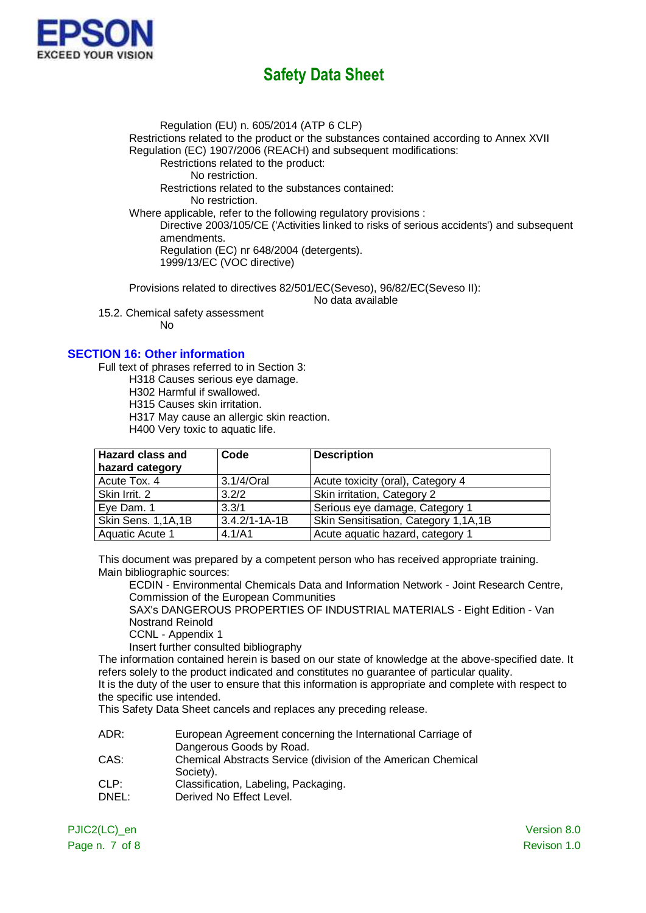

Regulation (EU) n. 605/2014 (ATP 6 CLP) Restrictions related to the product or the substances contained according to Annex XVII Regulation (EC) 1907/2006 (REACH) and subsequent modifications: Restrictions related to the product: No restriction. Restrictions related to the substances contained: No restriction. Where applicable, refer to the following regulatory provisions : Directive 2003/105/CE ('Activities linked to risks of serious accidents') and subsequent amendments. Regulation (EC) nr 648/2004 (detergents). 1999/13/EC (VOC directive)

Provisions related to directives 82/501/EC(Seveso), 96/82/EC(Seveso II): No data available

15.2. Chemical safety assessment

No

### **SECTION 16: Other information**

Full text of phrases referred to in Section 3:

H318 Causes serious eye damage.

H302 Harmful if swallowed.

H315 Causes skin irritation.

H317 May cause an allergic skin reaction.

H400 Very toxic to aquatic life.

| <b>Hazard class and</b> | Code                | <b>Description</b>                   |
|-------------------------|---------------------|--------------------------------------|
| hazard category         |                     |                                      |
| Acute Tox. 4            | 3.1/4/Oral          | Acute toxicity (oral), Category 4    |
| Skin Irrit. 2           | 3.2/2               | Skin irritation, Category 2          |
| Eye Dam. 1              | 3.3/1               | Serious eye damage, Category 1       |
| Skin Sens. 1,1A,1B      | $3.4.2/1 - 1A - 1B$ | Skin Sensitisation, Category 1,1A,1B |
| Aquatic Acute 1         | 4.1/A1              | Acute aquatic hazard, category 1     |

This document was prepared by a competent person who has received appropriate training. Main bibliographic sources:

ECDIN - Environmental Chemicals Data and Information Network - Joint Research Centre, Commission of the European Communities

SAX's DANGEROUS PROPERTIES OF INDUSTRIAL MATERIALS - Eight Edition - Van Nostrand Reinold

CCNL - Appendix 1

Insert further consulted bibliography

The information contained herein is based on our state of knowledge at the above-specified date. It refers solely to the product indicated and constitutes no guarantee of particular quality.

It is the duty of the user to ensure that this information is appropriate and complete with respect to the specific use intended.

This Safety Data Sheet cancels and replaces any preceding release.

| ADR: | European Agreement concerning the International Carriage of   |
|------|---------------------------------------------------------------|
|      | Dangerous Goods by Road.                                      |
| CAS: | Chemical Abstracts Service (division of the American Chemical |

- Society). CLP: Classification, Labeling, Packaging.
- 
- DNEL: Derived No Effect Level.

PJIC2(LC) en Version 8.0 Page n. 7 of 8 Revison 1.0